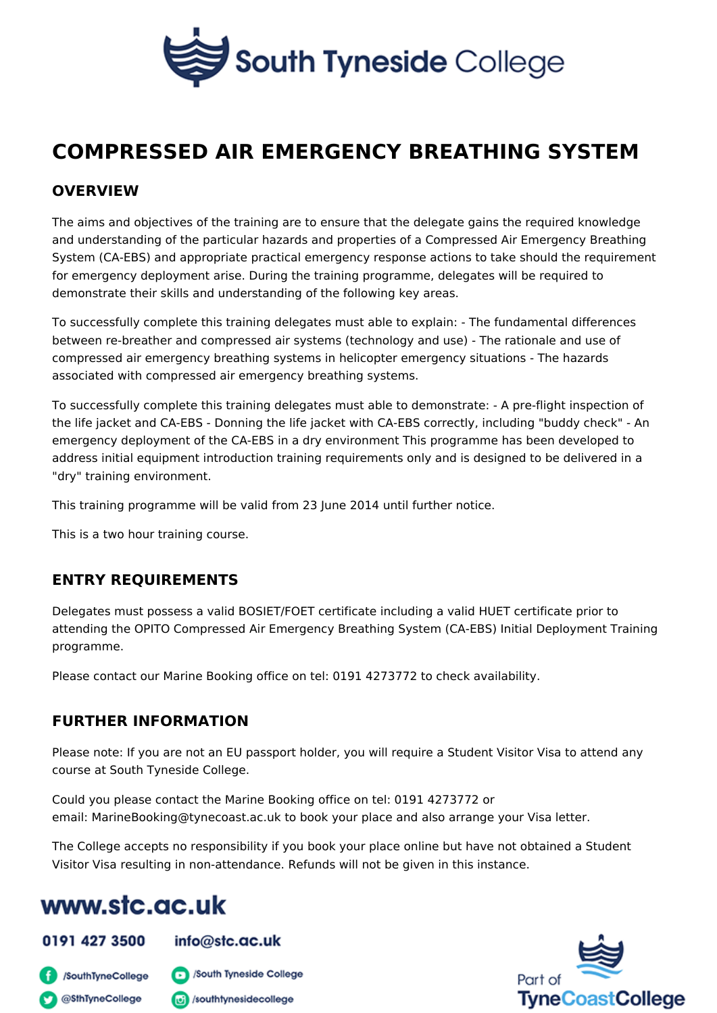## COMPRESSED AIR EMERGENCY BREATHING S

#### OVERVIEW

The aims and objectives of the training are to ensure that the delegate gains the and understanding of the particular hazards and properties of a Compressed Air System (CA-EBS) and appropriate practical emergency response actions to take for emergency deployment arise. During the training programme, delegates will b demonstrate their skills and understanding of the following key areas.

To successfully complete this training delegates must able to explain: - The fun between re-breather and compressed air systems (technology and use) - The rat compressed air emergency breathing systems in helicopter emergency situations associated with compressed air emergency breathing systems.

To successfully complete this training delegates must able to demonstrate: - A prethe life jacket and CA-EBS - Donning the life jacket with CA-EBS correctly, inclu emergency deployment of the CA-EBS in a dry environment This programme has address initial equipment introduction training requirements only and is designe "dry" training environment.

This training programme will be valid from 23 June 2014 until further notice.

This is a two hour training course.

#### ENTRY REQUIREMENTS

Delegates must possess a valid BOSIET/FOET certificate including a valid HUET attending the OPITO Compressed Air Emergency Breathing System (CA-EBS) Init programme.

Please contact our Marine Booking office on tel: 0191 4273772 to check availabi

#### FURTHER INFORMATION

Please note: If you are not an EU passport holder, you will require a Student Vi course at South Tyneside College.

Could you please contact the Marine Booking office on tel: 0191 4273772 or email: MarineBooking@tynecoast.ac.uk to book your place and also arrange your

The College accepts no responsibility if you book your place online but have not Visitor Visa resulting in non-attendance. Refunds will not be given in this instar